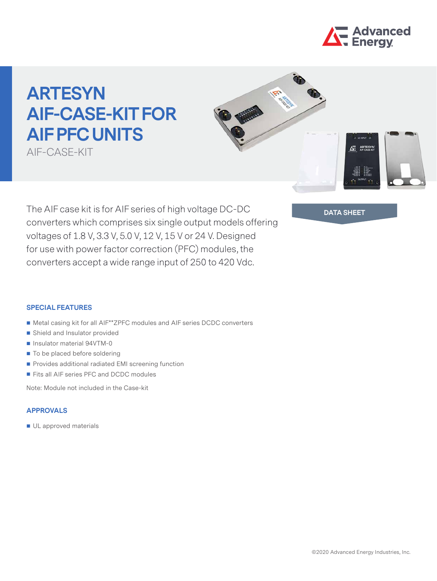

ARTESY

# **ARTESYN AIF-CASE-KIT FOR AIF PFC UNITS**

AIF-CASE-KIT

The AIF case kit is for AIF series of high voltage DC-DC **DATA SHEET** converters which comprises six single output models offering voltages of 1.8 V, 3.3 V, 5.0 V, 12 V, 15 V or 24 V. Designed for use with power factor correction (PFC) modules, the converters accept a wide range input of 250 to 420 Vdc.

#### **SPECIAL FEATURES**

- Metal casing kit for all AIF\*\*ZPFC modules and AIF series DCDC converters
- Shield and Insulator provided
- Insulator material 94VTM-0
- To be placed before soldering
- **Provides additional radiated EMI screening function**
- Fits all AIF series PFC and DCDC modules

Note: Module not included in the Case-kit

### **APPROVALS**

UL approved materials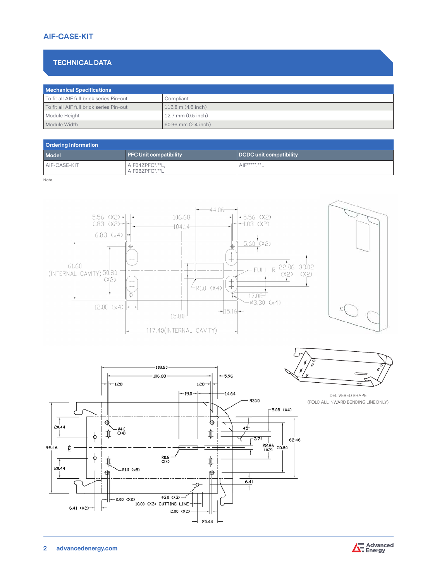## **AIF-CASE-KIT**

## **TECHNICAL DATA**

| <b>Mechanical Specifications</b>         |                        |  |
|------------------------------------------|------------------------|--|
| To fit all AIF full brick series Pin-out | Compliant              |  |
| To fit all AIF full brick series Pin-out | $116.8$ m $(4.6$ inch) |  |
| Module Height                            | 12.7 mm (0.5 inch)     |  |
| Module Width                             | 60.96 mm (2.4 inch)    |  |

| <b>Ordering Information</b> |                                   |                         |  |
|-----------------------------|-----------------------------------|-------------------------|--|
| Model                       | PFC Unit compatibility            | DCDC unit compatibility |  |
| AIF-CASE-KIT                | AIF04ZPFC*.**L,<br>AIF06ZPFC*.**L | AIF*****.**L            |  |

Note,